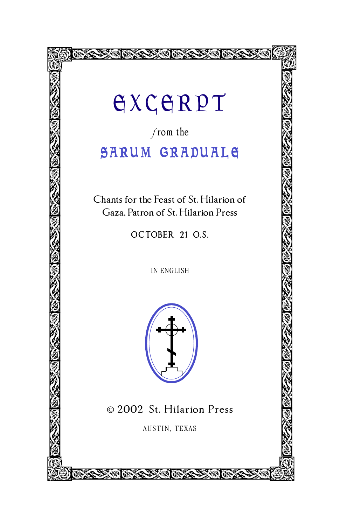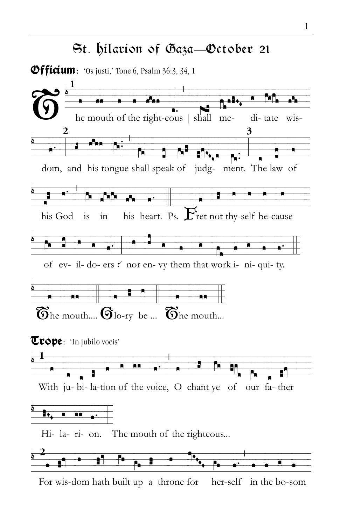## St. *h*ilarion of Gaza—October 21

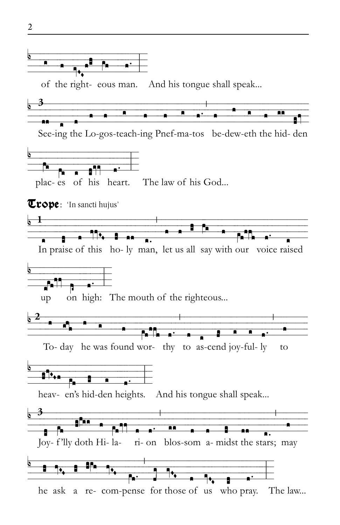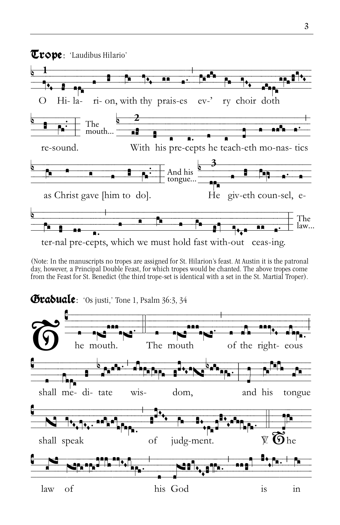

(Note: In the manuscripts no tropes are assigned for St. Hilarion's feast. At Austin it is the patronal day, however, a Principal Double Feast, for which tropes would be chanted. The above tropes come from the Feast for St. Benedict (the third trope-set is identical with a set in the St. Martial Troper).

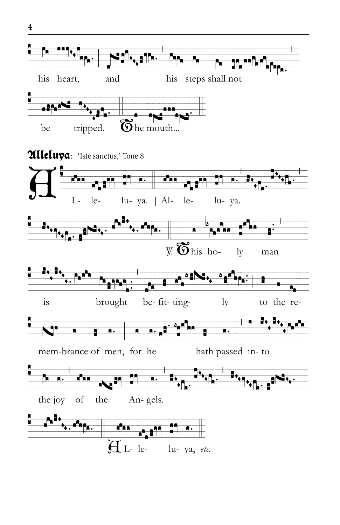

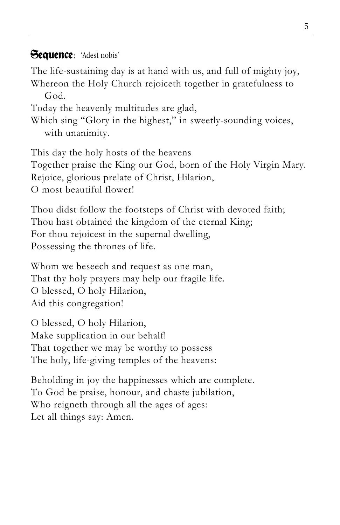## Sequence: 'Adest nobis'

The life-sustaining day is at hand with us, and full of mighty joy, Whereon the Holy Church rejoiceth together in gratefulness to

God.

Today the heavenly multitudes are glad,

Which sing "Glory in the highest," in sweetly-sounding voices, with unanimity.

This day the holy hosts of the heavens Together praise the King our God, born of the Holy Virgin Mary. Rejoice, glorious prelate of Christ, Hilarion, O most beautiful flower!

Thou didst follow the footsteps of Christ with devoted faith; Thou hast obtained the kingdom of the eternal King; For thou rejoicest in the supernal dwelling, Possessing the thrones of life.

Whom we beseech and request as one man, That thy holy prayers may help our fragile life. O blessed, O holy Hilarion, Aid this congregation!

O blessed, O holy Hilarion, Make supplication in our behalf! That together we may be worthy to possess The holy, life-giving temples of the heavens:

Beholding in joy the happinesses which are complete. To God be praise, honour, and chaste jubilation, Who reigneth through all the ages of ages: Let all things say: Amen.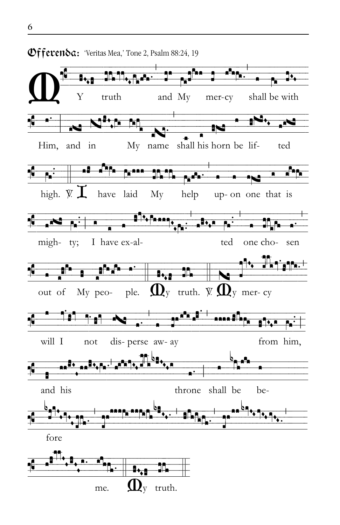